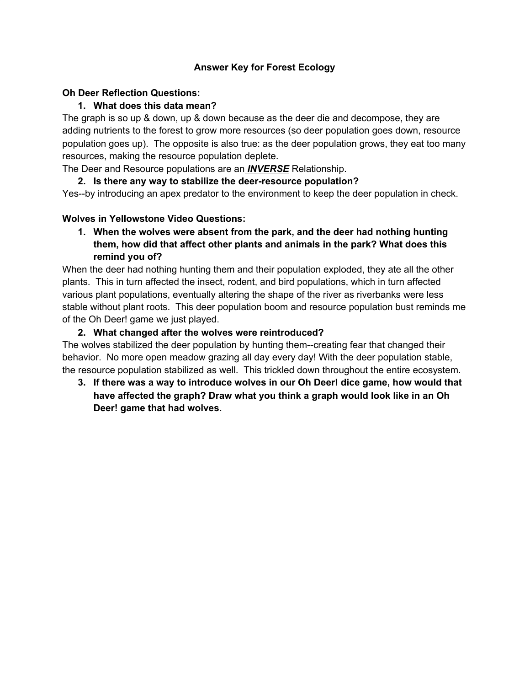## **Answer Key for Forest Ecology**

#### **Oh Deer Reflection Questions:**

## **1. What does this data mean?**

The graph is so up & down, up & down because as the deer die and decompose, they are adding nutrients to the forest to grow more resources (so deer population goes down, resource population goes up). The opposite is also true: as the deer population grows, they eat too many resources, making the resource population deplete.

The Deer and Resource populations are an *INVERSE* Relationship.

**2. Is there any way to stabilize the deer-resource population?**

Yes--by introducing an apex predator to the environment to keep the deer population in check.

#### **Wolves in Yellowstone Video Questions:**

**1. When the wolves were absent from the park, and the deer had nothing hunting them, how did that affect other plants and animals in the park? What does this remind you of?**

When the deer had nothing hunting them and their population exploded, they ate all the other plants. This in turn affected the insect, rodent, and bird populations, which in turn affected various plant populations, eventually altering the shape of the river as riverbanks were less stable without plant roots. This deer population boom and resource population bust reminds me of the Oh Deer! game we just played.

#### **2. What changed after the wolves were reintroduced?**

The wolves stabilized the deer population by hunting them--creating fear that changed their behavior. No more open meadow grazing all day every day! With the deer population stable, the resource population stabilized as well. This trickled down throughout the entire ecosystem.

**3. If there was a way to introduce wolves in our Oh Deer! dice game, how would that have affected the graph? Draw what you think a graph would look like in an Oh Deer! game that had wolves.**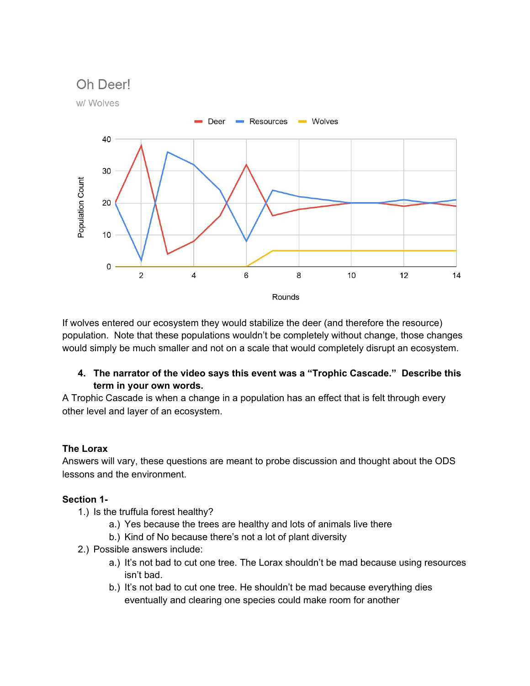# Oh Deerl



If wolves entered our ecosystem they would stabilize the deer (and therefore the resource) population. Note that these populations wouldn't be completely without change, those changes would simply be much smaller and not on a scale that would completely disrupt an ecosystem.

#### **4. The narrator of the video says this event was a "Trophic Cascade." Describe this term in your own words.**

A Trophic Cascade is when a change in a population has an effect that is felt through every other level and layer of an ecosystem.

#### **The Lorax**

Answers will vary, these questions are meant to probe discussion and thought about the ODS lessons and the environment.

# **Section 1-**

- 1.) Is the truffula forest healthy?
	- a.) Yes because the trees are healthy and lots of animals live there
	- b.) Kind of No because there's not a lot of plant diversity
- 2.) Possible answers include:
	- a.) It's not bad to cut one tree. The Lorax shouldn't be mad because using resources isn't bad.
	- b.) It's not bad to cut one tree. He shouldn't be mad because everything dies eventually and clearing one species could make room for another